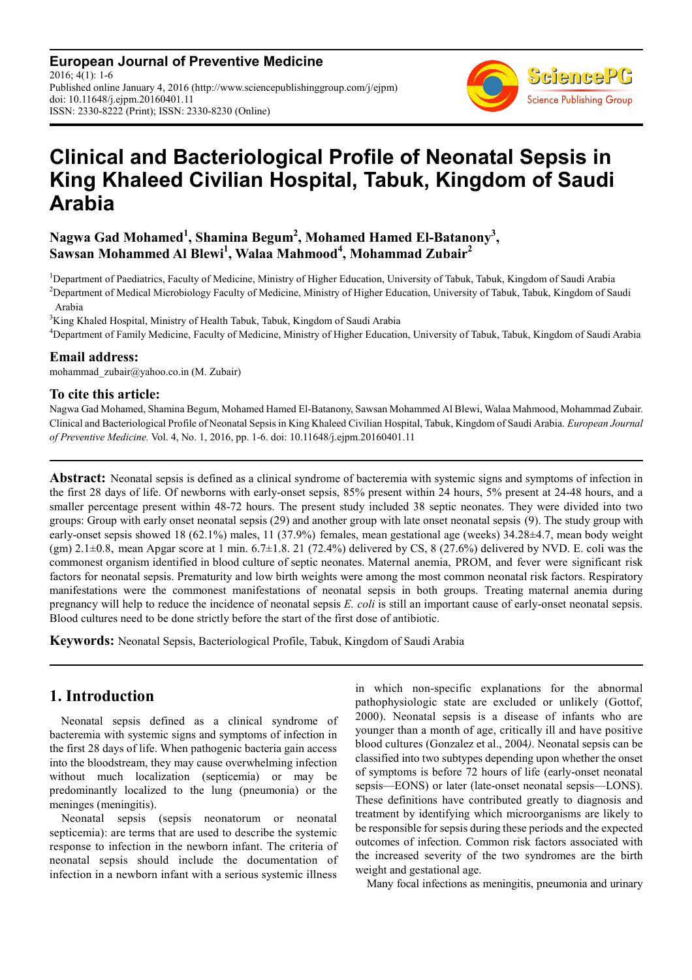**European Journal of Preventive Medicine** 2016; 4(1): 1-6 Published online January 4, 2016 (http://www.sciencepublishinggroup.com/j/ejpm) doi: 10.11648/j.ejpm.20160401.11 ISSN: 2330-8222 (Print); ISSN: 2330-8230 (Online)



# **Clinical and Bacteriological Profile of Neonatal Sepsis in King Khaleed Civilian Hospital, Tabuk, Kingdom of Saudi Arabia**

## **Nagwa Gad Mohamed<sup>1</sup> , Shamina Begum<sup>2</sup> , Mohamed Hamed El-Batanony<sup>3</sup> , Sawsan Mohammed Al Blewi<sup>1</sup> , Walaa Mahmood<sup>4</sup> , Mohammad Zubair<sup>2</sup>**

<sup>1</sup>Department of Paediatrics, Faculty of Medicine, Ministry of Higher Education, University of Tabuk, Tabuk, Kingdom of Saudi Arabia <sup>2</sup>Department of Medical Microbiology Faculty of Medicine, Ministry of Higher Education, University of Tabuk, Tabuk, Kingdom of Saudi Arabia

<sup>3</sup>King Khaled Hospital, Ministry of Health Tabuk, Tabuk, Kingdom of Saudi Arabia

<sup>4</sup>Department of Family Medicine, Faculty of Medicine, Ministry of Higher Education, University of Tabuk, Tabuk, Kingdom of Saudi Arabia

#### **Email address:**

mohammad\_zubair@yahoo.co.in (M. Zubair)

#### **To cite this article:**

Nagwa Gad Mohamed, Shamina Begum, Mohamed Hamed El-Batanony, Sawsan Mohammed Al Blewi, Walaa Mahmood, Mohammad Zubair. Clinical and Bacteriological Profile of Neonatal Sepsis in King Khaleed Civilian Hospital, Tabuk, Kingdom of Saudi Arabia. *European Journal of Preventive Medicine.* Vol. 4, No. 1, 2016, pp. 1-6. doi: 10.11648/j.ejpm.20160401.11

**Abstract:** Neonatal sepsis is defined as a clinical syndrome of bacteremia with systemic signs and symptoms of infection in the first 28 days of life. Of newborns with early-onset sepsis, 85% present within 24 hours, 5% present at 24-48 hours, and a smaller percentage present within 48-72 hours. The present study included 38 septic neonates. They were divided into two groups: Group with early onset neonatal sepsis (29) and another group with late onset neonatal sepsis (9). The study group with early-onset sepsis showed 18 (62.1%) males, 11 (37.9%) females, mean gestational age (weeks) 34.28±4.7, mean body weight (gm)  $2.1\pm0.8$ , mean Apgar score at 1 min.  $6.7\pm1.8$ . 21 (72.4%) delivered by CS, 8 (27.6%) delivered by NVD. E. coli was the commonest organism identified in blood culture of septic neonates. Maternal anemia, PROM, and fever were significant risk factors for neonatal sepsis. Prematurity and low birth weights were among the most common neonatal risk factors. Respiratory manifestations were the commonest manifestations of neonatal sepsis in both groups. Treating maternal anemia during pregnancy will help to reduce the incidence of neonatal sepsis *E. coli* is still an important cause of early-onset neonatal sepsis. Blood cultures need to be done strictly before the start of the first dose of antibiotic.

**Keywords:** Neonatal Sepsis, Bacteriological Profile, Tabuk, Kingdom of Saudi Arabia

# **1. Introduction**

Neonatal sepsis defined as a clinical syndrome of bacteremia with systemic signs and symptoms of infection in the first 28 days of life. When pathogenic bacteria gain access into the bloodstream, they may cause overwhelming infection without much localization (septicemia) or may be predominantly localized to the lung (pneumonia) or the meninges (meningitis).

Neonatal sepsis (sepsis neonatorum or neonatal septicemia): are terms that are used to describe the systemic response to infection in the newborn infant. The criteria of neonatal sepsis should include the documentation of infection in a newborn infant with a serious systemic illness in which non-specific explanations for the abnormal pathophysiologic state are excluded or unlikely (Gottof, 2000). Neonatal sepsis is a disease of infants who are younger than a month of age, critically ill and have positive blood cultures (Gonzalez et al., 2004*)*. Neonatal sepsis can be classified into two subtypes depending upon whether the onset of symptoms is before 72 hours of life (early-onset neonatal sepsis—EONS) or later (late-onset neonatal sepsis—LONS). These definitions have contributed greatly to diagnosis and treatment by identifying which microorganisms are likely to be responsible for sepsis during these periods and the expected outcomes of infection. Common risk factors associated with the increased severity of the two syndromes are the birth weight and gestational age.

Many focal infections as meningitis, pneumonia and urinary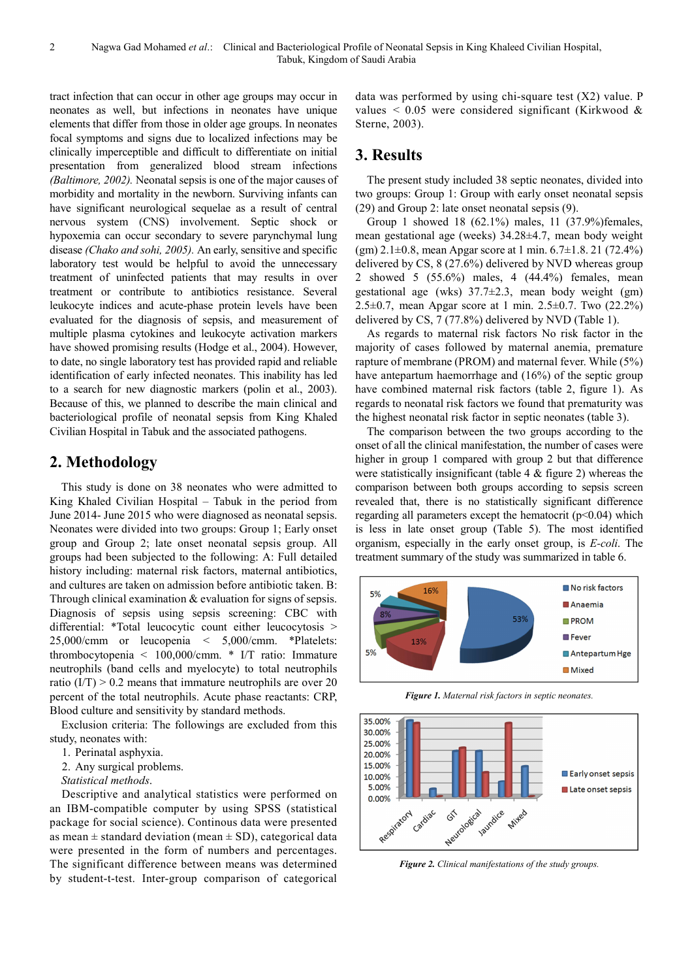tract infection that can occur in other age groups may occur in neonates as well, but infections in neonates have unique elements that differ from those in older age groups. In neonates focal symptoms and signs due to localized infections may be clinically imperceptible and difficult to differentiate on initial presentation from generalized blood stream infections *(Baltimore, 2002).* Neonatal sepsis is one of the major causes of morbidity and mortality in the newborn. Surviving infants can have significant neurological sequelae as a result of central nervous system (CNS) involvement. Septic shock or hypoxemia can occur secondary to severe parynchymal lung disease *(Chako and sohi, 2005).* An early, sensitive and specific laboratory test would be helpful to avoid the unnecessary treatment of uninfected patients that may results in over treatment or contribute to antibiotics resistance. Several leukocyte indices and acute-phase protein levels have been evaluated for the diagnosis of sepsis, and measurement of multiple plasma cytokines and leukocyte activation markers have showed promising results (Hodge et al., 2004). However, to date, no single laboratory test has provided rapid and reliable identification of early infected neonates. This inability has led to a search for new diagnostic markers (polin et al., 2003). Because of this, we planned to describe the main clinical and bacteriological profile of neonatal sepsis from King Khaled Civilian Hospital in Tabuk and the associated pathogens.

#### **2. Methodology**

This study is done on 38 neonates who were admitted to King Khaled Civilian Hospital – Tabuk in the period from June 2014- June 2015 who were diagnosed as neonatal sepsis. Neonates were divided into two groups: Group 1; Early onset group and Group 2; late onset neonatal sepsis group. All groups had been subjected to the following: A: Full detailed history including: maternal risk factors, maternal antibiotics, and cultures are taken on admission before antibiotic taken. B: Through clinical examination & evaluation for signs of sepsis. Diagnosis of sepsis using sepsis screening: CBC with differential: \*Total leucocytic count either leucocytosis > 25,000/cmm or leucopenia < 5,000/cmm. \*Platelets: thrombocytopenia < 100,000/cmm. \* I/T ratio: Immature neutrophils (band cells and myelocyte) to total neutrophils ratio  $(I/T) > 0.2$  means that immature neutrophils are over 20 percent of the total neutrophils. Acute phase reactants: CRP, Blood culture and sensitivity by standard methods.

Exclusion criteria: The followings are excluded from this study, neonates with:

- 1. Perinatal asphyxia.
- 2. Any surgical problems.

*Statistical methods*.

Descriptive and analytical statistics were performed on an IBM-compatible computer by using SPSS (statistical package for social science). Continous data were presented as mean  $\pm$  standard deviation (mean  $\pm$  SD), categorical data were presented in the form of numbers and percentages. The significant difference between means was determined by student-t-test. Inter-group comparison of categorical

data was performed by using chi-square test (X2) value. P values  $\leq 0.05$  were considered significant (Kirkwood & Sterne, 2003).

## **3. Results**

The present study included 38 septic neonates, divided into two groups: Group 1: Group with early onset neonatal sepsis (29) and Group 2: late onset neonatal sepsis (9).

Group 1 showed 18 (62.1%) males, 11 (37.9%)females, mean gestational age (weeks) 34.28±4.7, mean body weight  $(gm)$  2.1 $\pm$ 0.8, mean Apgar score at 1 min. 6.7 $\pm$ 1.8. 21 (72.4%) delivered by CS, 8 (27.6%) delivered by NVD whereas group 2 showed 5 (55.6%) males, 4 (44.4%) females, mean gestational age (wks) 37.7±2.3, mean body weight (gm) 2.5±0.7, mean Apgar score at 1 min. 2.5±0.7. Two (22.2%) delivered by CS, 7 (77.8%) delivered by NVD (Table 1).

As regards to maternal risk factors No risk factor in the majority of cases followed by maternal anemia, premature rapture of membrane (PROM) and maternal fever. While (5%) have antepartum haemorrhage and (16%) of the septic group have combined maternal risk factors (table 2, figure 1). As regards to neonatal risk factors we found that prematurity was the highest neonatal risk factor in septic neonates (table 3).

The comparison between the two groups according to the onset of all the clinical manifestation, the number of cases were higher in group 1 compared with group 2 but that difference were statistically insignificant (table 4 & figure 2) whereas the comparison between both groups according to sepsis screen revealed that, there is no statistically significant difference regarding all parameters except the hematocrit  $(p<0.04)$  which is less in late onset group (Table 5). The most identified organism, especially in the early onset group, is *E-coli*. The treatment summary of the study was summarized in table 6.



*Figure 1. Maternal risk factors in septic neonates.* 



*Figure 2. Clinical manifestations of the study groups.*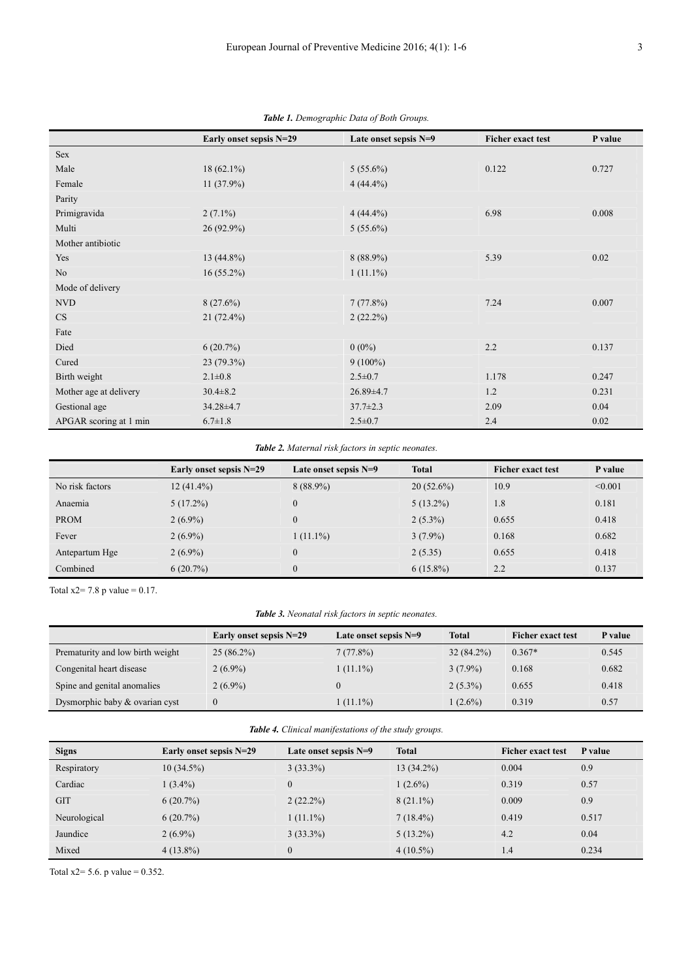|                        | Early onset sepsis N=29 | Late onset sepsis N=9 | <b>Ficher exact test</b> | P value |
|------------------------|-------------------------|-----------------------|--------------------------|---------|
| Sex                    |                         |                       |                          |         |
| Male                   | $18(62.1\%)$            | $5(55.6\%)$           | 0.122                    | 0.727   |
| Female                 | $11(37.9\%)$            | $4(44.4\%)$           |                          |         |
| Parity                 |                         |                       |                          |         |
| Primigravida           | $2(7.1\%)$              | $4(44.4\%)$           | 6.98                     | 0.008   |
| Multi                  | $26(92.9\%)$            | $5(55.6\%)$           |                          |         |
| Mother antibiotic      |                         |                       |                          |         |
| Yes                    | $13(44.8\%)$            | $8(88.9\%)$           | 5.39                     | 0.02    |
| N <sub>o</sub>         | $16(55.2\%)$            | $1(11.1\%)$           |                          |         |
| Mode of delivery       |                         |                       |                          |         |
| <b>NVD</b>             | 8(27.6%)                | 7(77.8%)              | 7.24                     | 0.007   |
| $\rm CS$               | $21(72.4\%)$            | $2(22.2\%)$           |                          |         |
| Fate                   |                         |                       |                          |         |
| Died                   | 6(20.7%)                | $0(0\%)$              | 2.2                      | 0.137   |
| Cured                  | $23(79.3\%)$            | $9(100\%)$            |                          |         |
| Birth weight           | $2.1 \pm 0.8$           | $2.5 \pm 0.7$         | 1.178                    | 0.247   |
| Mother age at delivery | $30.4 \pm 8.2$          | $26.89{\pm}4.7$       | 1.2                      | 0.231   |
| Gestional age          | 34.28±4.7               | $37.7 \pm 2.3$        | 2.09                     | 0.04    |
| APGAR scoring at 1 min | $6.7 \pm 1.8$           | $2.5 \pm 0.7$         | 2.4                      | 0.02    |

*Table 1. Demographic Data of Both Groups.*

#### *Table 2. Maternal risk factors in septic neonates.*

|                 | Early onset sepsis N=29 | Late onset sepsis $N=9$ | <b>Total</b> | <b>Ficher exact test</b> | P value |
|-----------------|-------------------------|-------------------------|--------------|--------------------------|---------|
| No risk factors | $12(41.4\%)$            | $8(88.9\%)$             | $20(52.6\%)$ | 10.9                     | < 0.001 |
| Anaemia         | $5(17.2\%)$             | $\theta$                | $5(13.2\%)$  | 1.8                      | 0.181   |
| <b>PROM</b>     | $2(6.9\%)$              | $\overline{0}$          | $2(5.3\%)$   | 0.655                    | 0.418   |
| Fever           | $2(6.9\%)$              | $1(11.1\%)$             | $3(7.9\%)$   | 0.168                    | 0.682   |
| Antepartum Hge  | $2(6.9\%)$              | $\theta$                | 2(5.35)      | 0.655                    | 0.418   |
| Combined        | $6(20.7\%)$             | $\Omega$                | $6(15.8\%)$  | 2.2                      | 0.137   |

Total  $x2 = 7.8$  p value = 0.17.

*Table 3. Neonatal risk factors in septic neonates.* 

|                                  | Early onset sepsis N=29 | Late onset sepsis $N=9$ | Total        | <b>Ficher exact test</b> | P value |
|----------------------------------|-------------------------|-------------------------|--------------|--------------------------|---------|
| Prematurity and low birth weight | $25(86.2\%)$            | 7(77.8%)                | $32(84.2\%)$ | $0.367*$                 | 0.545   |
| Congenital heart disease         | $2(6.9\%)$              | $1(11.1\%)$             | $3(7.9\%)$   | 0.168                    | 0.682   |
| Spine and genital anomalies      | $2(6.9\%)$              |                         | $2(5.3\%)$   | 0.655                    | 0.418   |
| Dysmorphic baby & ovarian cyst   | $\theta$                | $1(11.1\%)$             | $(2.6\%)$    | 0.319                    | 0.57    |

*Table 4. Clinical manifestations of the study groups.* 

| <b>Signs</b> | Early onset sepsis N=29 | Late onset sepsis $N=9$ | <b>Total</b> | <b>Ficher exact test</b> | P value |
|--------------|-------------------------|-------------------------|--------------|--------------------------|---------|
| Respiratory  | $10(34.5\%)$            | $3(33.3\%)$             | $13(34.2\%)$ | 0.004                    | 0.9     |
| Cardiac      | $1(3.4\%)$              | $\overline{0}$          | $1(2.6\%)$   | 0.319                    | 0.57    |
| <b>GIT</b>   | 6(20.7%)                | $2(22.2\%)$             | $8(21.1\%)$  | 0.009                    | 0.9     |
| Neurological | 6(20.7%)                | $1(11.1\%)$             | $7(18.4\%)$  | 0.419                    | 0.517   |
| Jaundice     | $2(6.9\%)$              | $3(33.3\%)$             | $5(13.2\%)$  | 4.2                      | 0.04    |
| Mixed        | $4(13.8\%)$             | $\overline{0}$          | $4(10.5\%)$  | 1.4                      | 0.234   |

Total  $x2 = 5.6$ . p value = 0.352.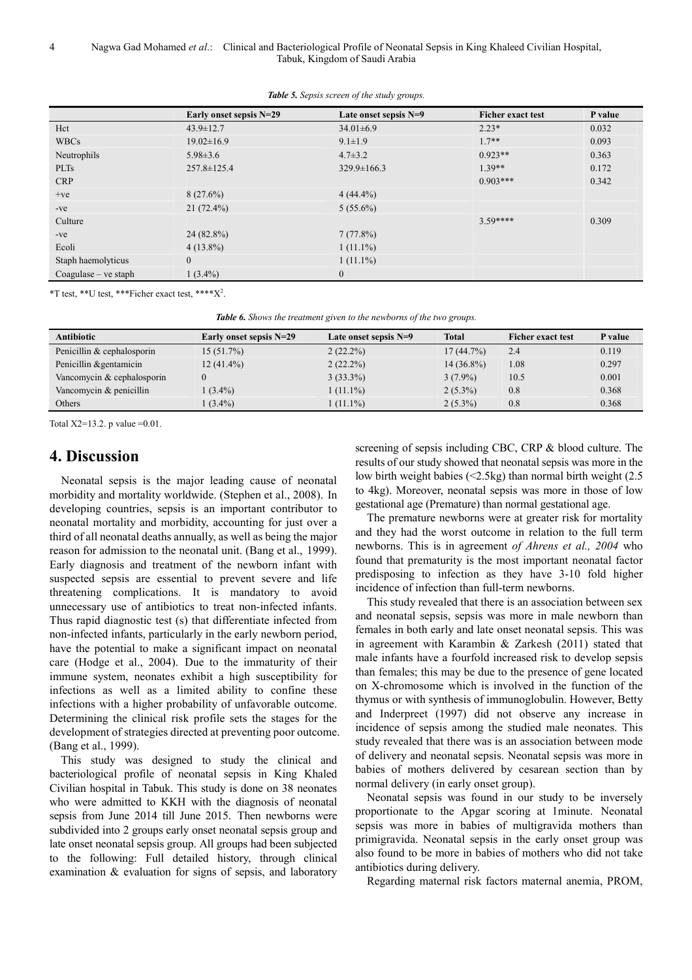4 Nagwa Gad Mohamed *et al*.: Clinical and Bacteriological Profile of Neonatal Sepsis in King Khaleed Civilian Hospital, Tabuk, Kingdom of Saudi Arabia

|                        | Early onset sepsis N=29 | Late onset sepsis N=9 | <b>Ficher exact test</b> | P value |
|------------------------|-------------------------|-----------------------|--------------------------|---------|
| Hct                    | $43.9 \pm 12.7$         | $34.01\pm6.9$         | $2.23*$                  | 0.032   |
| <b>WBCs</b>            | $19.02 \pm 16.9$        | $9.1 \pm 1.9$         | $1.7**$                  | 0.093   |
| Neutrophils            | $5.98 \pm 3.6$          | $4.7 \pm 3.2$         | $0.923**$                | 0.363   |
| <b>PLTs</b>            | $257.8 \pm 125.4$       | $329.9 \pm 166.3$     | $1.39**$                 | 0.172   |
| <b>CRP</b>             |                         |                       | $0.903***$               | 0.342   |
| $+ve$                  | 8(27.6%)                | $4(44.4\%)$           |                          |         |
| $-ve$                  | $21(72.4\%)$            | $5(55.6\%)$           |                          |         |
| Culture                |                         |                       | $359***$                 | 0.309   |
| $-ve$                  | $24(82.8\%)$            | 7(77.8%)              |                          |         |
| Ecoli                  | $4(13.8\%)$             | $1(11.1\%)$           |                          |         |
| Staph haemolyticus     | $\mathbf{0}$            | $1(11.1\%)$           |                          |         |
| $Coagulase - ve staph$ | $1(3.4\%)$              | $\boldsymbol{0}$      |                          |         |

*Table 5. Sepsis screen of the study groups.* 

 $*T$  test,  $**U$  test,  $**F$  icher exact test,  $***X^2$ .

|  |  |  |  |  |  |  | <b>Table 6.</b> Shows the treatment given to the newborns of the two groups. |
|--|--|--|--|--|--|--|------------------------------------------------------------------------------|
|--|--|--|--|--|--|--|------------------------------------------------------------------------------|

| <b>Antibiotic</b>          | Early onset sepsis N=29 | Late onset sepsis $N=9$ | <b>Total</b> | <b>Ficher exact test</b> | P value |
|----------------------------|-------------------------|-------------------------|--------------|--------------------------|---------|
| Penicillin & cephalosporin | $15(51.7\%)$            | $2(22.2\%)$             | $17(44.7\%)$ | 2.4                      | 0.119   |
| Penicillin & gentamicin    | $12(41.4\%)$            | $2(22.2\%)$             | $14(36.8\%)$ | 1.08                     | 0.297   |
| Vancomycin & cephalosporin |                         | $3(33.3\%)$             | $3(7.9\%)$   | 10.5                     | 0.001   |
| Vancomycin & penicillin    | $(3.4\%)$               | $1(11.1\%)$             | $2(5.3\%)$   | 0.8                      | 0.368   |
| Others                     | $(3.4\%)$               | $(11.1\%)$              | $2(5.3\%)$   | 0.8                      | 0.368   |

Total  $X2=13.2$ . p value  $=0.01$ .

# **4. Discussion**

Neonatal sepsis is the major leading cause of neonatal morbidity and mortality worldwide. (Stephen et al., 2008). In developing countries, sepsis is an important contributor to neonatal mortality and morbidity, accounting for just over a third of all neonatal deaths annually, as well as being the major reason for admission to the neonatal unit. (Bang et al., 1999). Early diagnosis and treatment of the newborn infant with suspected sepsis are essential to prevent severe and life threatening complications. It is mandatory to avoid unnecessary use of antibiotics to treat non-infected infants. Thus rapid diagnostic test (s) that differentiate infected from non-infected infants, particularly in the early newborn period, have the potential to make a significant impact on neonatal care (Hodge et al., 2004). Due to the immaturity of their immune system, neonates exhibit a high susceptibility for infections as well as a limited ability to confine these infections with a higher probability of unfavorable outcome. Determining the clinical risk profile sets the stages for the development of strategies directed at preventing poor outcome. (Bang et al., 1999).

This study was designed to study the clinical and bacteriological profile of neonatal sepsis in King Khaled Civilian hospital in Tabuk. This study is done on 38 neonates who were admitted to KKH with the diagnosis of neonatal sepsis from June 2014 till June 2015. Then newborns were subdivided into 2 groups early onset neonatal sepsis group and late onset neonatal sepsis group. All groups had been subjected to the following: Full detailed history, through clinical examination & evaluation for signs of sepsis, and laboratory screening of sepsis including CBC, CRP & blood culture. The results of our study showed that neonatal sepsis was more in the low birth weight babies (<2.5kg) than normal birth weight (2.5 to 4kg). Moreover, neonatal sepsis was more in those of low gestational age (Premature) than normal gestational age.

The premature newborns were at greater risk for mortality and they had the worst outcome in relation to the full term newborns. This is in agreement *of Ahrens et al., 2004* who found that prematurity is the most important neonatal factor predisposing to infection as they have 3-10 fold higher incidence of infection than full-term newborns.

This study revealed that there is an association between sex and neonatal sepsis, sepsis was more in male newborn than females in both early and late onset neonatal sepsis. This was in agreement with Karambin & Zarkesh (2011) stated that male infants have a fourfold increased risk to develop sepsis than females; this may be due to the presence of gene located on X-chromosome which is involved in the function of the thymus or with synthesis of immunoglobulin. However, Betty and Inderpreet (1997) did not observe any increase in incidence of sepsis among the studied male neonates. This study revealed that there was is an association between mode of delivery and neonatal sepsis. Neonatal sepsis was more in babies of mothers delivered by cesarean section than by normal delivery (in early onset group).

Neonatal sepsis was found in our study to be inversely proportionate to the Apgar scoring at 1minute. Neonatal sepsis was more in babies of multigravida mothers than primigravida. Neonatal sepsis in the early onset group was also found to be more in babies of mothers who did not take antibiotics during delivery.

Regarding maternal risk factors maternal anemia, PROM,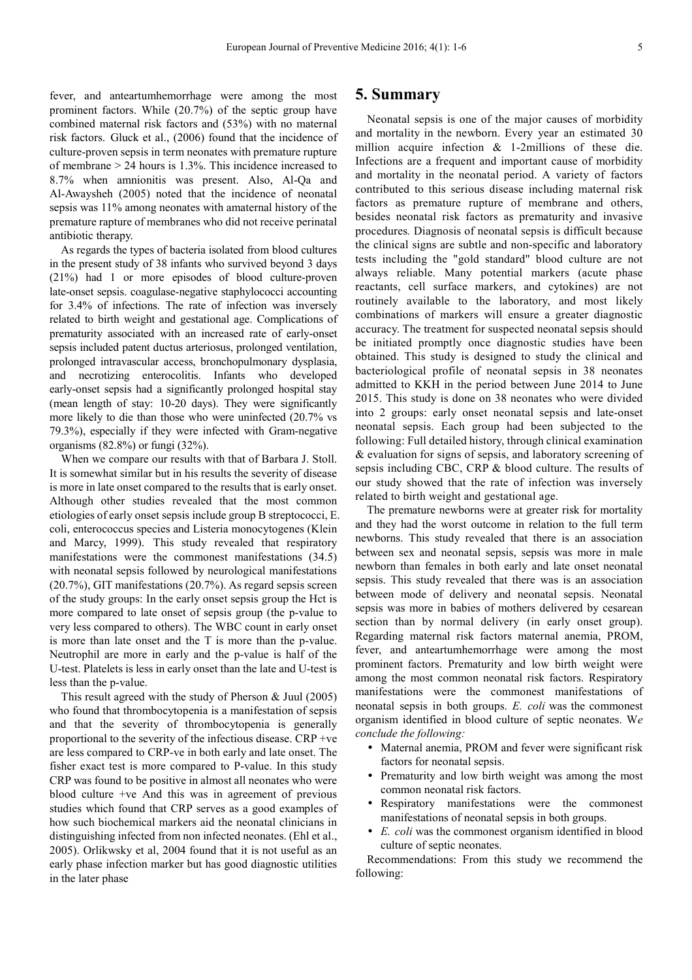fever, and anteartumhemorrhage were among the most prominent factors. While (20.7%) of the septic group have combined maternal risk factors and (53%) with no maternal risk factors. Gluck et al., (2006) found that the incidence of culture-proven sepsis in term neonates with premature rupture of membrane > 24 hours is 1.3%. This incidence increased to 8.7% when amnionitis was present. Also, Al-Qa and Al-Awaysheh (2005) noted that the incidence of neonatal sepsis was 11% among neonates with amaternal history of the premature rapture of membranes who did not receive perinatal antibiotic therapy.

As regards the types of bacteria isolated from blood cultures in the present study of 38 infants who survived beyond 3 days (21%) had 1 or more episodes of blood culture-proven late-onset sepsis. coagulase-negative staphylococci accounting for 3.4% of infections. The rate of infection was inversely related to birth weight and gestational age. Complications of prematurity associated with an increased rate of early-onset sepsis included patent ductus arteriosus, prolonged ventilation, prolonged intravascular access, bronchopulmonary dysplasia, and necrotizing enterocolitis. Infants who developed early-onset sepsis had a significantly prolonged hospital stay (mean length of stay: 10-20 days). They were significantly more likely to die than those who were uninfected (20.7% vs 79.3%), especially if they were infected with Gram-negative organisms (82.8%) or fungi (32%).

When we compare our results with that of Barbara J. Stoll. It is somewhat similar but in his results the severity of disease is more in late onset compared to the results that is early onset. Although other studies revealed that the most common etiologies of early onset sepsis include group B streptococci, E. coli, enterococcus species and Listeria monocytogenes (Klein and Marcy, 1999). This study revealed that respiratory manifestations were the commonest manifestations (34.5) with neonatal sepsis followed by neurological manifestations (20.7%), GIT manifestations (20.7%). As regard sepsis screen of the study groups: In the early onset sepsis group the Hct is more compared to late onset of sepsis group (the p-value to very less compared to others). The WBC count in early onset is more than late onset and the T is more than the p-value. Neutrophil are more in early and the p-value is half of the U-test. Platelets is less in early onset than the late and U-test is less than the p-value.

This result agreed with the study of Pherson & Juul (2005) who found that thrombocytopenia is a manifestation of sepsis and that the severity of thrombocytopenia is generally proportional to the severity of the infectious disease. CRP +ve are less compared to CRP-ve in both early and late onset. The fisher exact test is more compared to P-value. In this study CRP was found to be positive in almost all neonates who were blood culture +ve And this was in agreement of previous studies which found that CRP serves as a good examples of how such biochemical markers aid the neonatal clinicians in distinguishing infected from non infected neonates. (Ehl et al., 2005). Orlikwsky et al, 2004 found that it is not useful as an early phase infection marker but has good diagnostic utilities in the later phase

#### **5. Summary**

Neonatal sepsis is one of the major causes of morbidity and mortality in the newborn. Every year an estimated 30 million acquire infection & 1-2millions of these die. Infections are a frequent and important cause of morbidity and mortality in the neonatal period. A variety of factors contributed to this serious disease including maternal risk factors as premature rupture of membrane and others, besides neonatal risk factors as prematurity and invasive procedures*.* Diagnosis of neonatal sepsis is difficult because the clinical signs are subtle and non-specific and laboratory tests including the "gold standard" blood culture are not always reliable. Many potential markers (acute phase reactants, cell surface markers, and cytokines) are not routinely available to the laboratory, and most likely combinations of markers will ensure a greater diagnostic accuracy. The treatment for suspected neonatal sepsis should be initiated promptly once diagnostic studies have been obtained. This study is designed to study the clinical and bacteriological profile of neonatal sepsis in 38 neonates admitted to KKH in the period between June 2014 to June 2015. This study is done on 38 neonates who were divided into 2 groups: early onset neonatal sepsis and late-onset neonatal sepsis. Each group had been subjected to the following: Full detailed history, through clinical examination & evaluation for signs of sepsis, and laboratory screening of sepsis including CBC, CRP & blood culture. The results of our study showed that the rate of infection was inversely related to birth weight and gestational age.

The premature newborns were at greater risk for mortality and they had the worst outcome in relation to the full term newborns. This study revealed that there is an association between sex and neonatal sepsis, sepsis was more in male newborn than females in both early and late onset neonatal sepsis. This study revealed that there was is an association between mode of delivery and neonatal sepsis. Neonatal sepsis was more in babies of mothers delivered by cesarean section than by normal delivery (in early onset group). Regarding maternal risk factors maternal anemia, PROM, fever, and anteartumhemorrhage were among the most prominent factors. Prematurity and low birth weight were among the most common neonatal risk factors. Respiratory manifestations were the commonest manifestations of neonatal sepsis in both groups. *E. coli* was the commonest organism identified in blood culture of septic neonates. W*e conclude the following:* 

- Maternal anemia, PROM and fever were significant risk factors for neonatal sepsis.
- Prematurity and low birth weight was among the most common neonatal risk factors.
- Respiratory manifestations were the commonest manifestations of neonatal sepsis in both groups.
- *E. coli* was the commonest organism identified in blood culture of septic neonates.

Recommendations: From this study we recommend the following: